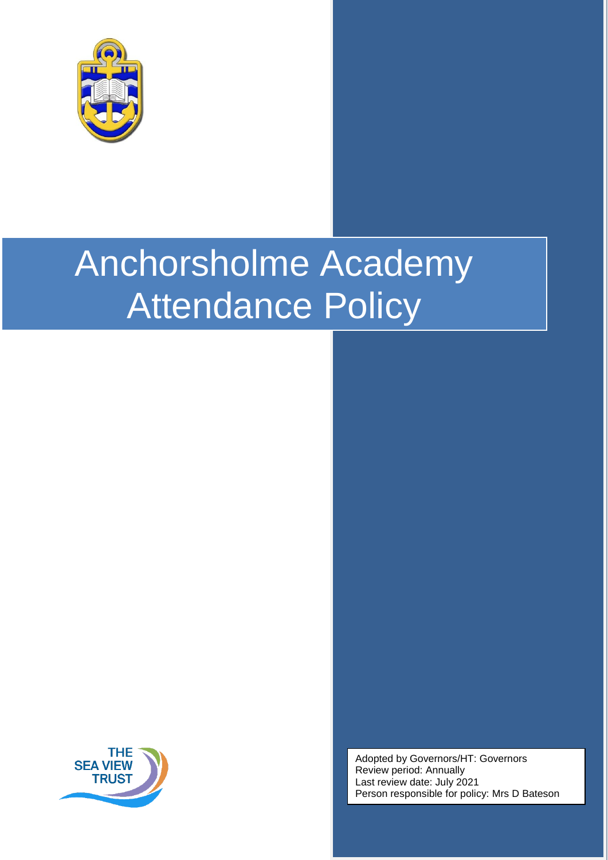

# Anchorsholme Academy Attendance Policy



Adopted by Governors/HT: Governors Review period: Annually Last review date: July 2021 Person responsible for policy: Mrs D Bateson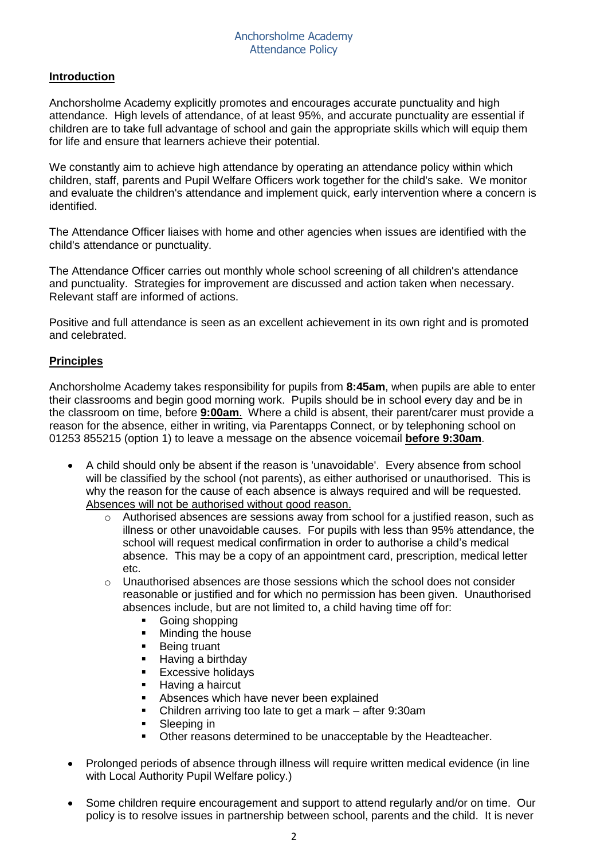# **Introduction**

Anchorsholme Academy explicitly promotes and encourages accurate punctuality and high attendance. High levels of attendance, of at least 95%, and accurate punctuality are essential if children are to take full advantage of school and gain the appropriate skills which will equip them for life and ensure that learners achieve their potential.

We constantly aim to achieve high attendance by operating an attendance policy within which children, staff, parents and Pupil Welfare Officers work together for the child's sake. We monitor and evaluate the children's attendance and implement quick, early intervention where a concern is identified.

The Attendance Officer liaises with home and other agencies when issues are identified with the child's attendance or punctuality.

The Attendance Officer carries out monthly whole school screening of all children's attendance and punctuality. Strategies for improvement are discussed and action taken when necessary. Relevant staff are informed of actions.

Positive and full attendance is seen as an excellent achievement in its own right and is promoted and celebrated.

# **Principles**

Anchorsholme Academy takes responsibility for pupils from **8:45am**, when pupils are able to enter their classrooms and begin good morning work. Pupils should be in school every day and be in the classroom on time, before **9:00am**. Where a child is absent, their parent/carer must provide a reason for the absence, either in writing, via Parentapps Connect, or by telephoning school on 01253 855215 (option 1) to leave a message on the absence voicemail **before 9:30am**.

- A child should only be absent if the reason is 'unavoidable'. Every absence from school will be classified by the school (not parents), as either authorised or unauthorised. This is why the reason for the cause of each absence is always required and will be requested. Absences will not be authorised without good reason.
	- o Authorised absences are sessions away from school for a justified reason, such as illness or other unavoidable causes. For pupils with less than 95% attendance, the school will request medical confirmation in order to authorise a child's medical absence. This may be a copy of an appointment card, prescription, medical letter etc.
	- $\circ$  Unauthorised absences are those sessions which the school does not consider reasonable or justified and for which no permission has been given. Unauthorised absences include, but are not limited to, a child having time off for:
		- Going shopping<br>
		Minding the hou
		- Minding the house
		- **Being truant**
		- **Having a birthday**
		- **Excessive holidays**
		- Having a haircut
		- **Absences which have never been explained**
		- Children arriving too late to get a mark after 9:30am
		- Sleeping in
		- Other reasons determined to be unacceptable by the Headteacher.
- Prolonged periods of absence through illness will require written medical evidence (in line with Local Authority Pupil Welfare policy.)
- Some children require encouragement and support to attend regularly and/or on time. Our policy is to resolve issues in partnership between school, parents and the child. It is never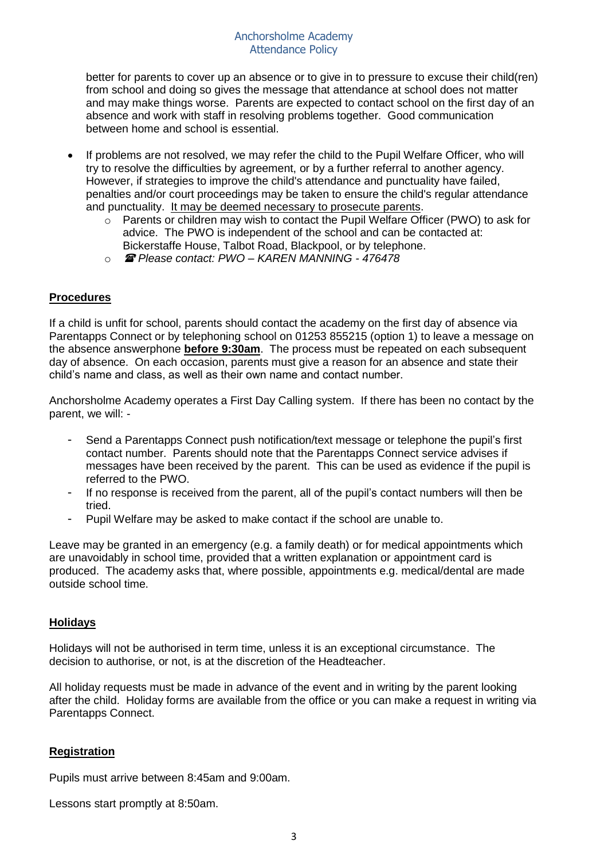better for parents to cover up an absence or to give in to pressure to excuse their child(ren) from school and doing so gives the message that attendance at school does not matter and may make things worse. Parents are expected to contact school on the first day of an absence and work with staff in resolving problems together. Good communication between home and school is essential.

- If problems are not resolved, we may refer the child to the Pupil Welfare Officer, who will try to resolve the difficulties by agreement, or by a further referral to another agency. However, if strategies to improve the child's attendance and punctuality have failed, penalties and/or court proceedings may be taken to ensure the child's regular attendance and punctuality. It may be deemed necessary to prosecute parents.
	- o Parents or children may wish to contact the Pupil Welfare Officer (PWO) to ask for advice. The PWO is independent of the school and can be contacted at: Bickerstaffe House, Talbot Road, Blackpool, or by telephone.
	- o *Please contact: PWO – KAREN MANNING - 476478*

## **Procedures**

If a child is unfit for school, parents should contact the academy on the first day of absence via Parentapps Connect or by telephoning school on 01253 855215 (option 1) to leave a message on the absence answerphone **before 9:30am**. The process must be repeated on each subsequent day of absence. On each occasion, parents must give a reason for an absence and state their child's name and class, as well as their own name and contact number.

Anchorsholme Academy operates a First Day Calling system. If there has been no contact by the parent, we will: -

- Send a Parentapps Connect push notification/text message or telephone the pupil's first contact number. Parents should note that the Parentapps Connect service advises if messages have been received by the parent. This can be used as evidence if the pupil is referred to the PWO.
- If no response is received from the parent, all of the pupil's contact numbers will then be tried.
- Pupil Welfare may be asked to make contact if the school are unable to.

Leave may be granted in an emergency (e.g. a family death) or for medical appointments which are unavoidably in school time, provided that a written explanation or appointment card is produced. The academy asks that, where possible, appointments e.g. medical/dental are made outside school time.

## **Holidays**

Holidays will not be authorised in term time, unless it is an exceptional circumstance. The decision to authorise, or not, is at the discretion of the Headteacher.

All holiday requests must be made in advance of the event and in writing by the parent looking after the child. Holiday forms are available from the office or you can make a request in writing via Parentapps Connect.

## **Registration**

Pupils must arrive between 8:45am and 9:00am.

Lessons start promptly at 8:50am.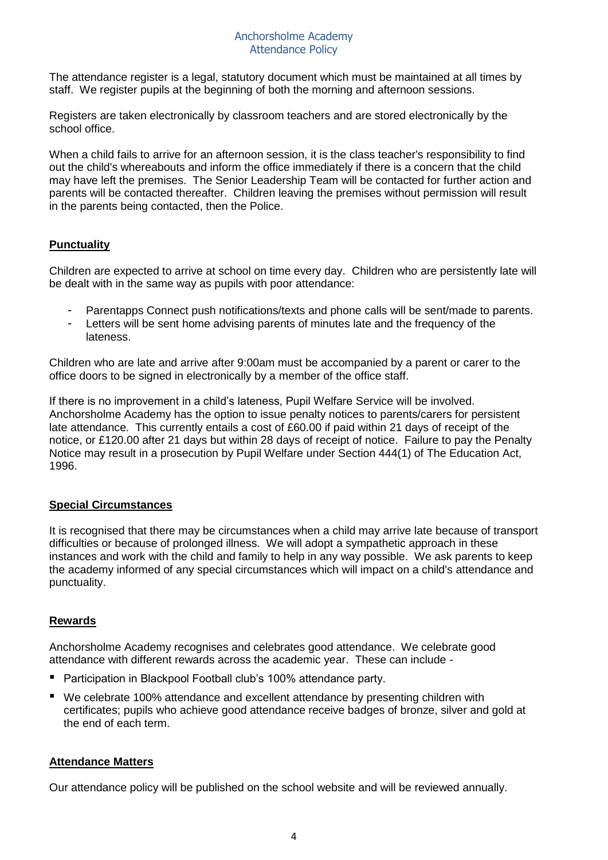#### Anchorsholme Academy Attendance Policy

The attendance register is a legal, statutory document which must be maintained at all times by staff. We register pupils at the beginning of both the morning and afternoon sessions.

Registers are taken electronically by classroom teachers and are stored electronically by the school office.

When a child fails to arrive for an afternoon session, it is the class teacher's responsibility to find out the child's whereabouts and inform the office immediately if there is a concern that the child may have left the premises. The Senior Leadership Team will be contacted for further action and parents will be contacted thereafter. Children leaving the premises without permission will result in the parents being contacted, then the Police.

# **Punctuality**

Children are expected to arrive at school on time every day. Children who are persistently late will be dealt with in the same way as pupils with poor attendance:

- Parentapps Connect push notifications/texts and phone calls will be sent/made to parents.
- Letters will be sent home advising parents of minutes late and the frequency of the lateness.

Children who are late and arrive after 9:00am must be accompanied by a parent or carer to the office doors to be signed in electronically by a member of the office staff.

If there is no improvement in a child's lateness, Pupil Welfare Service will be involved. Anchorsholme Academy has the option to issue penalty notices to parents/carers for persistent late attendance. This currently entails a cost of £60.00 if paid within 21 days of receipt of the notice, or £120.00 after 21 days but within 28 days of receipt of notice. Failure to pay the Penalty Notice may result in a prosecution by Pupil Welfare under Section 444(1) of The Education Act, 1996.

## **Special Circumstances**

It is recognised that there may be circumstances when a child may arrive late because of transport difficulties or because of prolonged illness. We will adopt a sympathetic approach in these instances and work with the child and family to help in any way possible. We ask parents to keep the academy informed of any special circumstances which will impact on a child's attendance and punctuality.

## **Rewards**

Anchorsholme Academy recognises and celebrates good attendance. We celebrate good attendance with different rewards across the academic year. These can include -

- Participation in Blackpool Football club's 100% attendance party.
- We celebrate 100% attendance and excellent attendance by presenting children with certificates; pupils who achieve good attendance receive badges of bronze, silver and gold at the end of each term.

## **Attendance Matters**

Our attendance policy will be published on the school website and will be reviewed annually.